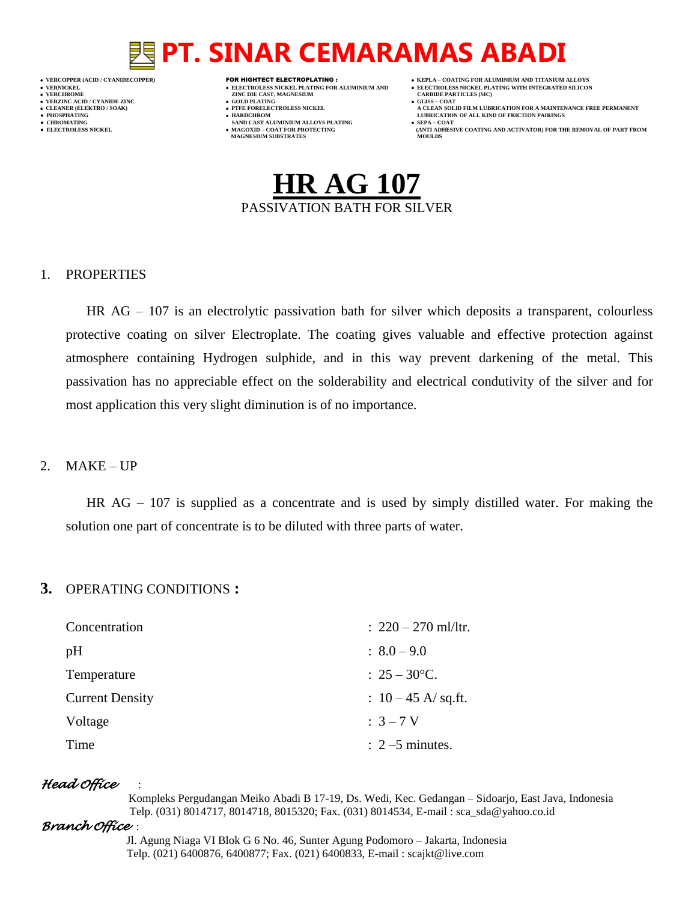## **PT. SINAR CEMARAMAS ABADI**

- 
- 
- 
- 

- **VERT ASSESSED ZINC DIE CAST, MAGNESIUM CARBIDE PARTING (SOLD PLATING CARBIDE PARTICLES)**
- **VERZINC ACID / CYANIDE ZINC GOLD PLATING GLISS – COAT**
	-
- **● CHROMATING SAND CAST ALUMINIUM ALLOYS PLATING SEPA – COAT MAGNESIUM SUBSTRATES MOULDS**
- **VERCOPPER (ACID / CYANIDECOPPER)** FOR HIGHTECT ELECTROPLATING :  **KEPLA – COATING FOR ALUMINIUM AND TITANIUM ALLOYS**
- **VERNICKEL ELECTROLESS NICKEL PLATING FOR ALUMINIUM AND ELECTROLESS NICKEL PLATING WITH INTEGRATED SILICON**
	-
- **CLEANER (ELEKTRO / SOAK) PTFE FORELECTROLESS NICKEL A CLEAN SOLID FILM LUBRICATION FOR A MAINTENANCE FREE PERMANENT ● PHOSPHATING HARDCHROM LUBRICATION OF ALL KIND OF FRICTION PAIRINGS**
- **● ELECTROLESS NICKEL MAGOXID – COAT FOR PROTECTING (ANTI ADHESIVE COATING AND ACTIVATOR) FOR THE REMOVAL OF PART FROM**

## **HR AG 107** PASSIVATION BATH FOR SILVER

## 1. PROPERTIES

HR AG – 107 is an electrolytic passivation bath for silver which deposits a transparent, colourless protective coating on silver Electroplate. The coating gives valuable and effective protection against atmosphere containing Hydrogen sulphide, and in this way prevent darkening of the metal. This passivation has no appreciable effect on the solderability and electrical condutivity of the silver and for most application this very slight diminution is of no importance.

## 2.  $MAKE - UP$

HR AG – 107 is supplied as a concentrate and is used by simply distilled water. For making the solution one part of concentrate is to be diluted with three parts of water.

## **3.** OPERATING CONDITIONS **:**

| Concentration          | : $220 - 270$ ml/ltr.      |
|------------------------|----------------------------|
| pH                     | $\therefore$ 8.0 – 9.0     |
| Temperature            | : $25 - 30^{\circ}$ C.     |
| <b>Current Density</b> | : $10 - 45$ A/sq.ft.       |
| Voltage                | $:3 - 7V$                  |
| Time                   | $\therefore$ 2 –5 minutes. |

## *Head Office* :

 Kompleks Pergudangan Meiko Abadi B 17-19, Ds. Wedi, Kec. Gedangan – Sidoarjo, East Java, Indonesia Telp. (031) 8014717, 8014718, 8015320; Fax. (031) 8014534, E-mail : sca\_sda@yahoo.co.id

## *Branch Office* :

 Jl. Agung Niaga VI Blok G 6 No. 46, Sunter Agung Podomoro – Jakarta, Indonesia Telp. (021) 6400876, 6400877; Fax. (021) 6400833, E-mail : scajkt@live.com